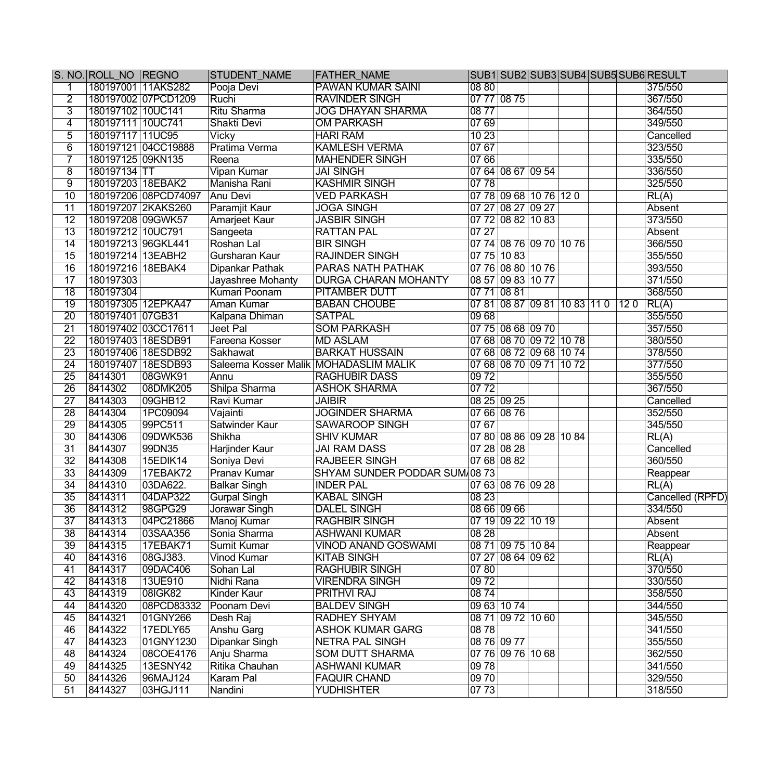|                 | S. NO. ROLL NO REGNO |                      | <b>STUDENT NAME</b>                   | <b>FATHER_NAME</b>            |       |                              |  |     | SUB1 SUB2 SUB3 SUB4 SUB5 SUB6 RESULT |
|-----------------|----------------------|----------------------|---------------------------------------|-------------------------------|-------|------------------------------|--|-----|--------------------------------------|
|                 | 180197001 11AKS282   |                      | Pooja Devi                            | <b>PAWAN KUMAR SAINI</b>      | 08 80 |                              |  |     | 375/550                              |
| $\overline{2}$  |                      | 180197002 07PCD1209  | Ruchi                                 | <b>RAVINDER SINGH</b>         |       | 07 77 08 75                  |  |     | 367/550                              |
| $\overline{3}$  | 180197102 10UC141    |                      | Ritu Sharma                           | <b>JOG DHAYAN SHARMA</b>      | 0877  |                              |  |     | 364/550                              |
| $\overline{4}$  | 180197111 10UC741    |                      | Shakti Devi                           | <b>OM PARKASH</b>             | 07 69 |                              |  |     | 349/550                              |
| $\overline{5}$  | 180197117 11UC95     |                      | <b>Vicky</b>                          | <b>HARI RAM</b>               | 1023  |                              |  |     | Cancelled                            |
| $\overline{6}$  |                      | 180197121 04CC19888  | Pratima Verma                         | <b>KAMLESH VERMA</b>          | 0767  |                              |  |     | 323/550                              |
| 7               | 180197125 09KN135    |                      | Reena                                 | <b>MAHENDER SINGH</b>         | 07 66 |                              |  |     | 335/550                              |
| $\overline{8}$  | 180197134 TT         |                      | <b>Vipan Kumar</b>                    | <b>JAI SINGH</b>              |       | 07 64 08 67 09 54            |  |     | 336/550                              |
| $\overline{9}$  | 180197203 18EBAK2    |                      | Manisha Rani                          | <b>KASHMIR SINGH</b>          | 0778  |                              |  |     | 325/550                              |
| $\overline{10}$ |                      | 180197206 08PCD74097 | Anu Devi                              | <b>VED PARKASH</b>            |       | 07 78 09 68 10 76 12 0       |  |     | RL(A)                                |
| $\overline{11}$ |                      | 180197207 2KAKS260   | Paramjit Kaur                         | <b>JOGA SINGH</b>             |       | 07 27 08 27 09 27            |  |     | Absent                               |
| $\overline{12}$ | 180197208 09GWK57    |                      | Amarjeet Kaur                         | <b>JASBIR SINGH</b>           |       | 07 72 08 82 10 83            |  |     | 373/550                              |
| $\overline{13}$ | 180197212 10UC791    |                      | Sangeeta                              | <b>RATTAN PAL</b>             | 0727  |                              |  |     | Absent                               |
| $\overline{14}$ | 180197213 96GKL441   |                      | Roshan Lal                            | <b>BIR SINGH</b>              |       | 07 74 08 76 09 70 10 76      |  |     | 366/550                              |
| $\overline{15}$ | 180197214 13EABH2    |                      | Gursharan Kaur                        | <b>RAJINDER SINGH</b>         |       | 07 75 10 83                  |  |     | 355/550                              |
| $\overline{16}$ | 180197216 18EBAK4    |                      | Dipankar Pathak                       | <b>PARAS NATH PATHAK</b>      |       | 07 76 08 80 10 76            |  |     | 393/550                              |
| $\overline{17}$ | 180197303            |                      | Jayashree Mohanty                     | <b>DURGA CHARAN MOHANTY</b>   |       | 08 57 09 83 10 77            |  |     | 371/550                              |
| $\overline{18}$ | 180197304            |                      | Kumari Poonam                         | <b>PITAMBER DUTT</b>          |       | 07 71 08 81                  |  |     | 368/550                              |
| $\overline{19}$ |                      | 180197305 12EPKA47   | Aman Kumar                            | <b>BABAN CHOUBE</b>           |       | 07 81 08 87 09 81 10 83 11 0 |  | 120 | RL(A)                                |
| $\overline{20}$ | 180197401 07GB31     |                      | Kalpana Dhiman                        | <b>SATPAL</b>                 | 0968  |                              |  |     | 355/550                              |
| $\overline{21}$ |                      | 180197402 03CC17611  | Jeet Pal                              | <b>SOM PARKASH</b>            |       | 07 75 08 68 09 70            |  |     | 357/550                              |
| $\overline{22}$ |                      | 180197403 18ESDB91   | Fareena Kosser                        | <b>MD ASLAM</b>               |       | 07 68 08 70 09 72 10 78      |  |     | 380/550                              |
| $\overline{23}$ |                      | 180197406 18ESDB92   | Sakhawat                              | <b>BARKAT HUSSAIN</b>         |       | 07 68 08 72 09 68 10 74      |  |     | 378/550                              |
| $\overline{24}$ |                      | 180197407 18ESDB93   | Saleema Kosser Malik MOHADASLIM MALIK |                               |       | 07 68 08 70 09 71 10 72      |  |     | 377/550                              |
| $\overline{25}$ | 8414301              | 08GWK91              | Annu                                  | <b>RAGHUBIR DASS</b>          | 0972  |                              |  |     | 355/550                              |
| $\overline{26}$ | 8414302              | 08DMK205             | Shilpa Sharma                         | <b>ASHOK SHARMA</b>           | 0772  |                              |  |     | 367/550                              |
| $\overline{27}$ | 8414303              | 09GHB12              | Ravi Kumar                            | <b>JAIBIR</b>                 |       | 08 25 09 25                  |  |     | Cancelled                            |
| $\overline{28}$ | 8414304              | 1PC09094             | Vajainti                              | <b>JOGINDER SHARMA</b>        |       | 07 66 08 76                  |  |     | 352/550                              |
| $\overline{29}$ | 8414305              | 99PC511              | Satwinder Kaur                        | <b>SAWAROOP SINGH</b>         | 07 67 |                              |  |     | 345/550                              |
| $\overline{30}$ | 8414306              | 09DWK536             | Shikha                                | <b>SHIV KUMAR</b>             |       | 07 80 08 86 09 28 10 84      |  |     | RL(A)                                |
| $\overline{31}$ | 8414307              | 99DN35               | Harjinder Kaur                        | <b>JAI RAM DASS</b>           |       | 07 28 08 28                  |  |     | Cancelled                            |
| $\overline{32}$ | 8414308              | 15EDIK14             | Soniya Devi                           | <b>RAJBEER SINGH</b>          |       | 07 68 08 82                  |  |     | 360/550                              |
| $\overline{33}$ | 8414309              | 17EBAK72             | Pranav Kumar                          | SHYAM SUNDER PODDAR SUM 08 73 |       |                              |  |     | Reappear                             |
| $\overline{34}$ | 8414310              | 03DA622.             | <b>Balkar Singh</b>                   | <b>INDER PAL</b>              |       | 07 63 08 76 09 28            |  |     | RL(A)                                |
| $\overline{35}$ | 8414311              | 04DAP322             | <b>Gurpal Singh</b>                   | <b>KABAL SINGH</b>            | 0823  |                              |  |     | Cancelled (RPFD)                     |
| 36              | 8414312              | 98GPG29              | Jorawar Singh                         | <b>DALEL SINGH</b>            |       | 08 66 09 66                  |  |     | 334/550                              |
| $\overline{37}$ | 8414313              | 04PC21866            | Manoj Kumar                           | <b>RAGHBIR SINGH</b>          |       | 07 19 09 22 10 19            |  |     | Absent                               |
| $\overline{38}$ | 8414314              | 03SAA356             | Sonia Sharma                          | <b>ASHWANI KUMAR</b>          | 0828  |                              |  |     | Absent                               |
| $\overline{39}$ | 8414315              | 17EBAK71             | Sumit Kumar                           | <b>VINOD ANAND GOSWAMI</b>    |       | 08 71 09 75 10 84            |  |     | Reappear                             |
| 40              | 8414316              | 08GJ383.             | <b>Vinod Kumar</b>                    | <b>KITAB SINGH</b>            |       | 07 27 08 64 09 62            |  |     | RL(A)                                |
| 41              | 8414317              | 09DAC406             | Sohan Lal                             | <b>RAGHUBIR SINGH</b>         | 0780  |                              |  |     | 370/550                              |
| 42              | 8414318              | 13UE910              | Nidhi Rana                            | <b>VIRENDRA SINGH</b>         | 0972  |                              |  |     | 330/550                              |
| 43              | 8414319              | 08IGK82              | Kinder Kaur                           | <b>PRITHVI RAJ</b>            | 0874  |                              |  |     | 358/550                              |
| 44              | 8414320              | 08PCD83332           | Poonam Devi                           | <b>BALDEV SINGH</b>           |       | 09 63 10 74                  |  |     | 344/550                              |
| 45              | 8414321              | 01GNY266             | Desh Raj                              | <b>RADHEY SHYAM</b>           |       | 08 71 09 72 10 60            |  |     | 345/550                              |
| 46              | 8414322              | 17EDLY65             | <b>Anshu Garg</b>                     | <b>ASHOK KUMAR GARG</b>       | 0878  |                              |  |     | 341/550                              |
| 47              | 8414323              | 01GNY1230            | Dipankar Singh                        | <b>NETRA PAL SINGH</b>        |       | 08 76 09 77                  |  |     | 355/550                              |
| 48              | 8414324              | 08COE4176            | Anju Sharma                           | <b>SOM DUTT SHARMA</b>        |       | 07 76 09 76 10 68            |  |     | 362/550                              |
| 49              | 8414325              | <b>13ESNY42</b>      | Ritika Chauhan                        | <b>ASHWANI KUMAR</b>          | 0978  |                              |  |     | 341/550                              |
| 50              | 8414326              | 96MAJ124             | Karam Pal                             | <b>FAQUIR CHAND</b>           | 09 70 |                              |  |     | 329/550                              |
| 51              | 8414327              | 03HGJ111             | Nandini                               | <b>YUDHISHTER</b>             | 07 73 |                              |  |     | 318/550                              |